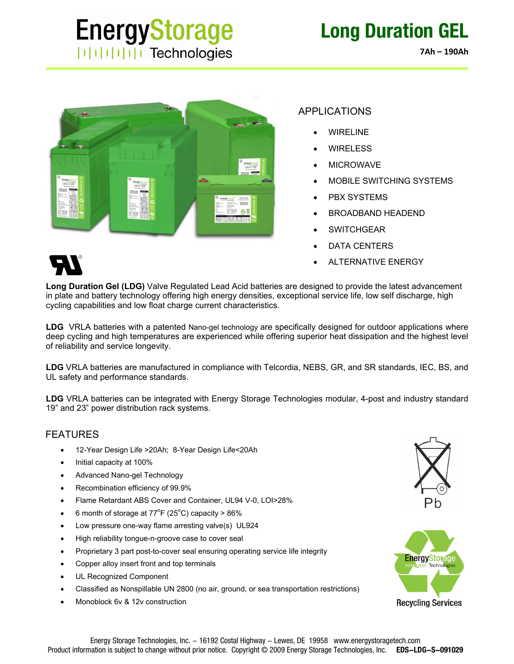## **EnergyStorage**  $||||||||||||||||$  Technologies

**7Ah – 190Ah**



### APPLICATIONS

- WIRELINE
- **WIRELESS**
- MICROWAVE
- MOBILE SWITCHING SYSTEMS
- PBX SYSTEMS
- BROADBAND HEADEND
- **SWITCHGEAR**
- DATA CENTERS
- ALTERNATIVE ENERGY

**Long Duration Gel (LDG)** Valve Regulated Lead Acid batteries are designed to provide the latest advancement in plate and battery technology offering high energy densities, exceptional service life, low self discharge, high cycling capabilities and low float charge current characteristics.

**LDG** VRLA batteries with a patented Nano-gel technology are specifically designed for outdoor applications where deep cycling and high temperatures are experienced while offering superior heat dissipation and the highest level of reliability and service longevity.

**LDG** VRLA batteries are manufactured in compliance with Telcordia, NEBS, GR, and SR standards, IEC, BS, and UL safety and performance standards.

**LDG** VRLA batteries can be integrated with Energy Storage Technologies modular, 4-post and industry standard 19" and 23" power distribution rack systems.

#### FEATURES

- 12-Year Design Life >20Ah; 8-Year Design Life<20Ah
- Initial capacity at 100%
- Advanced Nano-gel Technology
- Recombination efficiency of 99.9%
- Flame Retardant ABS Cover and Container, UL94 V-0, LOI>28%
- 6 month of storage at  $77^{\circ}F(25^{\circ}C)$  capacity > 86%
- Low pressure one-way flame arresting valve(s) UL924
- High reliability tongue-n-groove case to cover seal
- Proprietary 3 part post-to-cover seal ensuring operating service life integrity
- Copper alloy insert front and top terminals
- UL Recognized Component
- Classified as Nonspillable UN 2800 (no air, ground, or sea transportation restrictions)
- Monoblock 6v & 12v construction



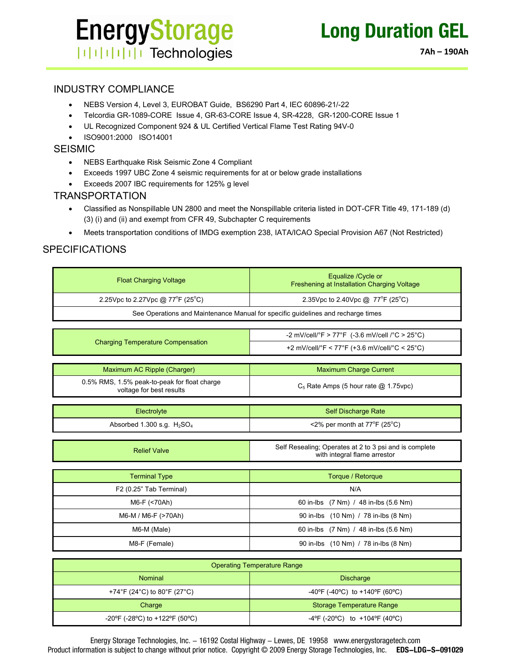## **EnergyStorage ITHEFFITE** Technologies

**7Ah – 190Ah**

#### INDUSTRY COMPLIANCE

- NEBS Version 4, Level 3, EUROBAT Guide, BS6290 Part 4, IEC 60896-21/-22
- Telcordia GR-1089-CORE Issue 4, GR-63-CORE Issue 4, SR-4228, GR-1200-CORE Issue 1
- UL Recognized Component 924 & UL Certified Vertical Flame Test Rating 94V-0
- ISO9001:2000 ISO14001

#### SEISMIC

- NEBS Earthquake Risk Seismic Zone 4 Compliant
- Exceeds 1997 UBC Zone 4 seismic requirements for at or below grade installations
- Exceeds 2007 IBC requirements for 125% g level

#### TRANSPORTATION

- Classified as Nonspillable UN 2800 and meet the Nonspillable criteria listed in DOT-CFR Title 49, 171-189 (d) (3) (i) and (ii) and exempt from CFR 49, Subchapter C requirements
- Meets transportation conditions of IMDG exemption 238, IATA/ICAO Special Provision A67 (Not Restricted)

#### SPECIFICATIONS

| <b>Float Charging Voltage</b>                                                    | Equalize / Cycle or<br>Freshening at Installation Charging Voltage                     |  |  |  |  |  |  |  |  |
|----------------------------------------------------------------------------------|----------------------------------------------------------------------------------------|--|--|--|--|--|--|--|--|
| 2.25 Vpc to 2.27 Vpc @ 77 °F (25 °C)                                             | 2.35Vpc to 2.40Vpc @ 77°F (25°C)                                                       |  |  |  |  |  |  |  |  |
| See Operations and Maintenance Manual for specific guidelines and recharge times |                                                                                        |  |  |  |  |  |  |  |  |
|                                                                                  |                                                                                        |  |  |  |  |  |  |  |  |
| <b>Charging Temperature Compensation</b>                                         | -2 mV/cell/°F > 77°F (-3.6 mV/cell /°C > 25°C)                                         |  |  |  |  |  |  |  |  |
|                                                                                  | +2 mV/cell/°F < 77°F (+3.6 mV/cell/°C < 25°C)                                          |  |  |  |  |  |  |  |  |
|                                                                                  |                                                                                        |  |  |  |  |  |  |  |  |
| Maximum AC Ripple (Charger)                                                      | <b>Maximum Charge Current</b>                                                          |  |  |  |  |  |  |  |  |
| 0.5% RMS, 1.5% peak-to-peak for float charge<br>voltage for best results         | $C_5$ Rate Amps (5 hour rate $@$ 1.75 vpc)                                             |  |  |  |  |  |  |  |  |
|                                                                                  |                                                                                        |  |  |  |  |  |  |  |  |
| Electrolyte                                                                      | <b>Self Discharge Rate</b>                                                             |  |  |  |  |  |  |  |  |
| Absorbed 1.300 s.g. $H2SO4$                                                      | <2% per month at $77^{\circ}$ F (25 $^{\circ}$ C)                                      |  |  |  |  |  |  |  |  |
|                                                                                  |                                                                                        |  |  |  |  |  |  |  |  |
| <b>Relief Valve</b>                                                              | Self Resealing; Operates at 2 to 3 psi and is complete<br>with integral flame arrestor |  |  |  |  |  |  |  |  |
|                                                                                  |                                                                                        |  |  |  |  |  |  |  |  |
| <b>Terminal Type</b>                                                             | Torque / Retorque                                                                      |  |  |  |  |  |  |  |  |
| F2 (0.25" Tab Terminal)                                                          | N/A                                                                                    |  |  |  |  |  |  |  |  |
| M6-F (<70Ah)                                                                     | 60 in-lbs (7 Nm) / 48 in-lbs (5.6 Nm)                                                  |  |  |  |  |  |  |  |  |
| M6-M / M6-F (>70Ah)                                                              | 90 in-lbs (10 Nm) / 78 in-lbs (8 Nm)                                                   |  |  |  |  |  |  |  |  |
| M6-M (Male)                                                                      | 60 in-lbs (7 Nm) / 48 in-lbs (5.6 Nm)                                                  |  |  |  |  |  |  |  |  |
| M8-F (Female)                                                                    | 90 in-lbs (10 Nm) / 78 in-lbs (8 Nm)                                                   |  |  |  |  |  |  |  |  |
|                                                                                  |                                                                                        |  |  |  |  |  |  |  |  |
| <b>Operating Temperature Range</b>                                               |                                                                                        |  |  |  |  |  |  |  |  |

| Operating Temperature Range    |                                                                          |  |  |  |  |  |  |  |  |
|--------------------------------|--------------------------------------------------------------------------|--|--|--|--|--|--|--|--|
| <b>Nominal</b>                 | <b>Discharge</b>                                                         |  |  |  |  |  |  |  |  |
| +74°F (24°C) to 80°F (27°C)    | $-40^{\circ}$ F (-40°C) to +140°F (60°C)                                 |  |  |  |  |  |  |  |  |
| Charge                         | <b>Storage Temperature Range</b>                                         |  |  |  |  |  |  |  |  |
| -20°F (-28°C) to +122°F (50°C) | $-4^{\circ}$ F (-20 $^{\circ}$ C) to +104 $^{\circ}$ F (40 $^{\circ}$ C) |  |  |  |  |  |  |  |  |

Energy Storage Technologies, Inc. - 16192 Costal Highway - Lewes, DE 19958 www.energystoragetech.com Product information is subject to change without prior notice. Copyright © 2009 Energy Storage Technologies, Inc. **EDS-LDG-S-091029**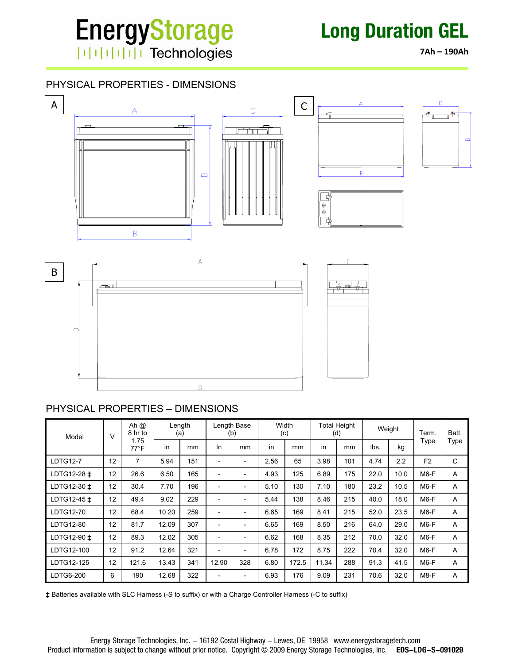**7Ah – 190Ah**

## PHYSICAL PROPERTIES - DIMENSIONS



### PHYSICAL PROPERTIES – DIMENSIONS

| v<br>Model             |                        | Ah $@$<br>8 hr to | Length<br>(a) |     | Length Base<br>(b)       |                          | Width<br>(c) |       | <b>Total Height</b><br>(d) |      | Weight |      | Term.          | Batt. |
|------------------------|------------------------|-------------------|---------------|-----|--------------------------|--------------------------|--------------|-------|----------------------------|------|--------|------|----------------|-------|
|                        | 1.75<br>$77^{\circ}$ F | in                | mm            | ln  | mm                       | in                       | mm           | in    | mm                         | lbs. | kg     | Type | Type           |       |
| <b>LDTG12-7</b>        | 12                     | 7                 | 5.94          | 151 | $\overline{\phantom{a}}$ | $\overline{\phantom{0}}$ | 2.56         | 65    | 3.98                       | 101  | 4.74   | 2.2  | F <sub>2</sub> | C     |
| LDTG12-28 <b>±</b>     | 12                     | 26.6              | 6.50          | 165 | $\overline{\phantom{a}}$ | $\overline{\phantom{0}}$ | 4.93         | 125   | 6.89                       | 175  | 22.0   | 10.0 | $M6-F$         | A     |
| LDTG12-30 <sup>+</sup> | 12                     | 30.4              | 7.70          | 196 | $\overline{\phantom{a}}$ |                          | 5.10         | 130   | 7.10                       | 180  | 23.2   | 10.5 | $M6-F$         | Α     |
| LDTG12-45 $\pm$        | 12                     | 49.4              | 9.02          | 229 | $\overline{\phantom{a}}$ |                          | 5.44         | 138   | 8.46                       | 215  | 40.0   | 18.0 | $M6-F$         | A     |
| LDTG12-70              | 12                     | 68.4              | 10.20         | 259 | $\overline{\phantom{a}}$ | $\overline{\phantom{0}}$ | 6.65         | 169   | 8.41                       | 215  | 52.0   | 23.5 | M6-F           | A     |
| LDTG12-80              | 12                     | 81.7              | 12.09         | 307 | $\overline{\phantom{a}}$ | $\overline{\phantom{0}}$ | 6.65         | 169   | 8.50                       | 216  | 64.0   | 29.0 | $M6-F$         | A     |
| LDTG12-90 $\pm$        | 12                     | 89.3              | 12.02         | 305 | $\overline{\phantom{0}}$ |                          | 6.62         | 168   | 8.35                       | 212  | 70.0   | 32.0 | $M6-F$         | A     |
| LDTG12-100             | 12                     | 91.2              | 12.64         | 321 | $\overline{\phantom{a}}$ |                          | 6.78         | 172   | 8.75                       | 222  | 70.4   | 32.0 | $M6-F$         | A     |
| LDTG12-125             | 12                     | 121.6             | 13.43         | 341 | 12.90                    | 328                      | 6.80         | 172.5 | 11.34                      | 288  | 91.3   | 41.5 | $M6-F$         | A     |
| LDTG6-200              | 6                      | 190               | 12.68         | 322 | $\overline{\phantom{a}}$ |                          | 6.93         | 176   | 9.09                       | 231  | 70.6   | 32.0 | $M8-F$         | A     |

**‡** Batteries available with SLC Harness (-S to suffix) or with a Charge Controller Harness (-C to suffix)